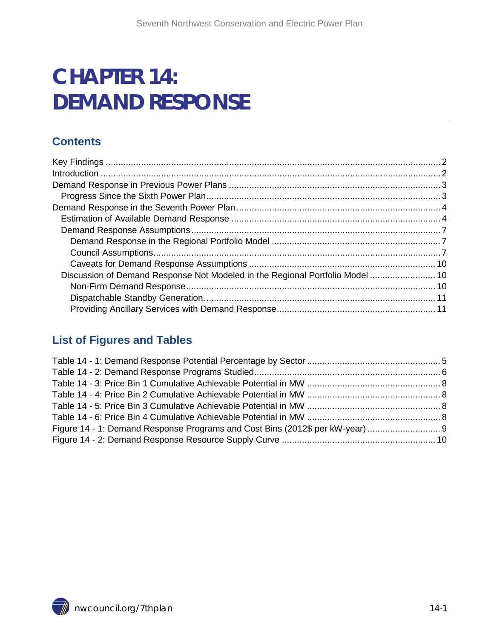# **CHAPTER 14: DEMAND RESPONSE**

### **Contents**

| Discussion of Demand Response Not Modeled in the Regional Portfolio Model 10 |  |
|------------------------------------------------------------------------------|--|
|                                                                              |  |
|                                                                              |  |
|                                                                              |  |

### **List of Figures and Tables**

<span id="page-0-0"></span>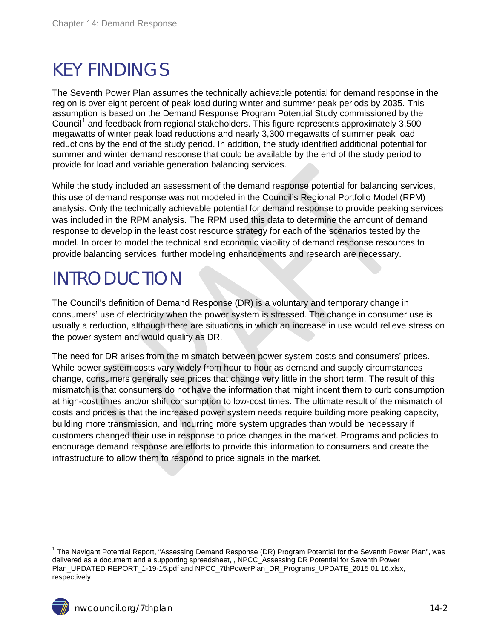## <span id="page-1-0"></span>KEY FINDINGS

The Seventh Power Plan assumes the technically achievable potential for demand response in the region is over eight percent of peak load during winter and summer peak periods by 2035. This assumption is based on the Demand Response Program Potential Study commissioned by the Council<sup>[1](#page-0-0)</sup> and feedback from regional stakeholders. This figure represents approximately 3,500 megawatts of winter peak load reductions and nearly 3,300 megawatts of summer peak load reductions by the end of the study period. In addition, the study identified additional potential for summer and winter demand response that could be available by the end of the study period to provide for load and variable generation balancing services.

While the study included an assessment of the demand response potential for balancing services, this use of demand response was not modeled in the Council's Regional Portfolio Model (RPM) analysis. Only the technically achievable potential for demand response to provide peaking services was included in the RPM analysis. The RPM used this data to determine the amount of demand response to develop in the least cost resource strategy for each of the scenarios tested by the model. In order to model the technical and economic viability of demand response resources to provide balancing services, further modeling enhancements and research are necessary.

## <span id="page-1-1"></span>INTRODUCTION

The Council's definition of Demand Response (DR) is a voluntary and temporary change in consumers' use of electricity when the power system is stressed. The change in consumer use is usually a reduction, although there are situations in which an increase in use would relieve stress on the power system and would qualify as DR.

The need for DR arises from the mismatch between power system costs and consumers' prices. While power system costs vary widely from hour to hour as demand and supply circumstances change, consumers generally see prices that change very little in the short term. The result of this mismatch is that consumers do not have the information that might incent them to curb consumption at high-cost times and/or shift consumption to low-cost times. The ultimate result of the mismatch of costs and prices is that the increased power system needs require building more peaking capacity, building more transmission, and incurring more system upgrades than would be necessary if customers changed their use in response to price changes in the market. Programs and policies to encourage demand response are efforts to provide this information to consumers and create the infrastructure to allow them to respond to price signals in the market.

<span id="page-1-2"></span> $\overline{a}$ 

<sup>&</sup>lt;sup>1</sup> The Navigant Potential Report, "Assessing Demand Response (DR) Program Potential for the Seventh Power Plan", was delivered as a document and a supporting spreadsheet, , NPCC\_Assessing DR Potential for Seventh Power Plan\_UPDATED REPORT\_1-19-15.pdf and NPCC\_7thPowerPlan\_DR\_Programs\_UPDATE\_2015 01 16.xlsx, respectively.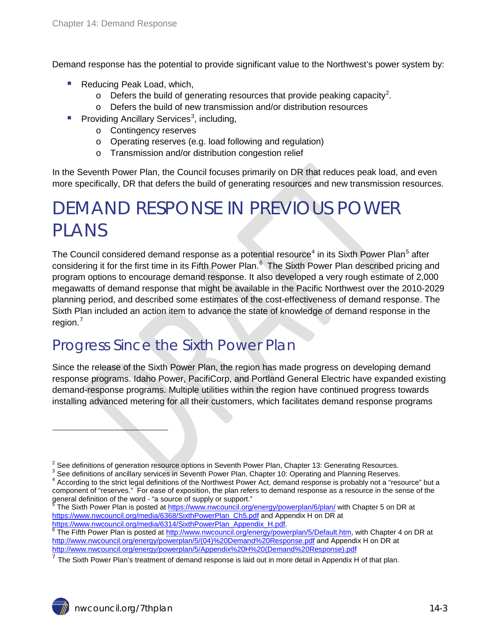Demand response has the potential to provide significant value to the Northwest's power system by:

- Reducing Peak Load, which,
	- $\circ$  Defers the build of generating resources that provide peaking capacity<sup>[2](#page-1-2)</sup>.
	- o Defers the build of new transmission and/or distribution resources
- Providing Ancillary Services<sup>[3](#page-2-2)</sup>, including,
	- o Contingency reserves
	- o Operating reserves (e.g. load following and regulation)
	- o Transmission and/or distribution congestion relief

In the Seventh Power Plan, the Council focuses primarily on DR that reduces peak load, and even more specifically, DR that defers the build of generating resources and new transmission resources.

## <span id="page-2-0"></span>DEMAND RESPONSE IN PREVIOUS POWER PLANS

The Council considered demand response as a potential resource<sup>[4](#page-2-3)</sup> in its Sixth Power Plan<sup>[5](#page-2-4)</sup> after considering it for the first time in its Fifth Power Plan.<sup>[6](#page-2-5)</sup> The Sixth Power Plan described pricing and program options to encourage demand response. It also developed a very rough estimate of 2,000 megawatts of demand response that might be available in the Pacific Northwest over the 2010-2029 planning period, and described some estimates of the cost-effectiveness of demand response. The Sixth Plan included an action item to advance the state of knowledge of demand response in the region. [7](#page-2-6)

### <span id="page-2-1"></span>Progress Since the Sixth Power Plan

Since the release of the Sixth Power Plan, the region has made progress on developing demand response programs. Idaho Power, PacifiCorp, and Portland General Electric have expanded existing demand-response programs. Multiple utilities within the region have continued progress towards installing advanced metering for all their customers, which facilitates demand response programs

<span id="page-2-3"></span>

 $\ddot{ }$ 

<span id="page-2-2"></span>

<sup>&</sup>lt;sup>2</sup> See definitions of generation resource options in Seventh Power Plan, Chapter 13: Generating Resources.<br><sup>3</sup> See definitions of ancillary services in Seventh Power Plan, Chapter 10: Operating and Planning Reserves.<br><sup>4</sup> component of "reserves." For ease of exposition, the plan refers to demand response as a resource in the sense of the general definition of the word - "a source of supply or support."

<span id="page-2-7"></span><span id="page-2-4"></span>general definition of the word - "a source of supply or support."<br><sup>5</sup> The Sixth Power Plan is posted at <u>https://www.nwcouncil.org/energy/powerplan/6/plan/</u> with Chapter 5 on DR at [https://www.nwcouncil.org/media/6368/SixthPowerPlan\\_Ch5.pdf](https://www.nwcouncil.org/media/6368/SixthPowerPlan_Ch5.pdf) and Appendix H on DR at

<span id="page-2-5"></span>[https://www.nwcouncil.org/media/6314/SixthPowerPlan\\_Appendix\\_H.pdf.](https://www.nwcouncil.org/media/6314/SixthPowerPlan_Appendix_H.pdf)<br><sup>6</sup> The Fifth Power Plan is posted at <u>http://www.nwcouncil.org/energy/powerplan/5/Default.htm</u>, with Chapter 4 on DR at [http://www.nwcouncil.org/energy/powerplan/5/\(04\)%20Demand%20Response.pdf](http://www.nwcouncil.org/energy/powerplan/5/(04)%20Demand%20Response.pdf) and Appendix H on DR at [http://www.nwcouncil.org/energy/powerplan/5/Appendix%20H%20\(Demand%20Response\).pdf](http://www.nwcouncil.org/energy/powerplan/5/Appendix%20H%20(Demand%20Response).pdf)

<span id="page-2-6"></span> $^7$  The Sixth Power Plan's treatment of demand response is laid out in more detail in Appendix H of that plan.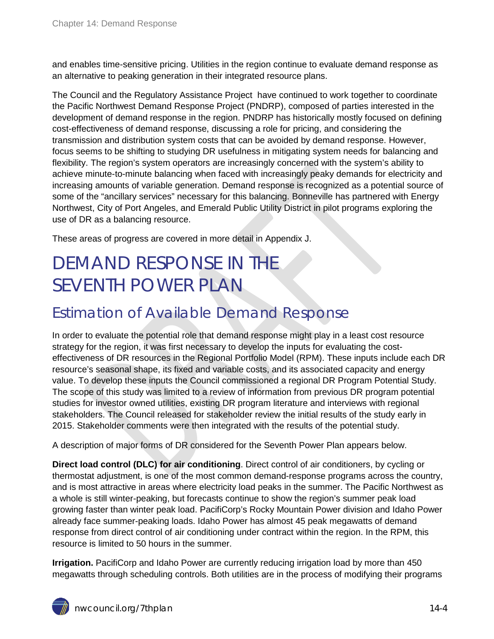and enables time-sensitive pricing. Utilities in the region continue to evaluate demand response as an alternative to peaking generation in their integrated resource plans.

The Council and the Regulatory Assistance Project have continued to work together to coordinate the Pacific Northwest Demand Response Project (PNDRP), composed of parties interested in the development of demand response in the region. PNDRP has historically mostly focused on defining cost-effectiveness of demand response, discussing a role for pricing, and considering the transmission and distribution system costs that can be avoided by demand response. However, focus seems to be shifting to studying DR usefulness in mitigating system needs for balancing and flexibility. The region's system operators are increasingly concerned with the system's ability to achieve minute-to-minute balancing when faced with increasingly peaky demands for electricity and increasing amounts of variable generation. Demand response is recognized as a potential source of some of the "ancillary services" necessary for this balancing. Bonneville has partnered with Energy Northwest, City of Port Angeles, and Emerald Public Utility District in pilot programs exploring the use of DR as a balancing resource.

These areas of progress are covered in more detail in Appendix J.

## <span id="page-3-0"></span>DEMAND RESPONSE IN THE SEVENTH POWER PLAN

### <span id="page-3-1"></span>Estimation of Available Demand Response

In order to evaluate the potential role that demand response might play in a least cost resource strategy for the region, it was first necessary to develop the inputs for evaluating the costeffectiveness of DR resources in the Regional Portfolio Model (RPM). These inputs include each DR resource's seasonal shape, its fixed and variable costs, and its associated capacity and energy value. To develop these inputs the Council commissioned a regional DR Program Potential Study. The scope of this study was limited to a review of information from previous DR program potential studies for investor owned utilities, existing DR program literature and interviews with regional stakeholders. The Council released for stakeholder review the initial results of the study early in 2015. Stakeholder comments were then integrated with the results of the potential study.

A description of major forms of DR considered for the Seventh Power Plan appears below.

**Direct load control (DLC) for air conditioning**. Direct control of air conditioners, by cycling or thermostat adjustment, is one of the most common demand-response programs across the country, and is most attractive in areas where electricity load peaks in the summer. The Pacific Northwest as a whole is still winter-peaking, but forecasts continue to show the region's summer peak load growing faster than winter peak load. PacifiCorp's Rocky Mountain Power division and Idaho Power already face summer-peaking loads. Idaho Power has almost 45 peak megawatts of demand response from direct control of air conditioning under contract within the region. In the RPM, this resource is limited to 50 hours in the summer.

**Irrigation.** PacifiCorp and Idaho Power are currently reducing irrigation load by more than 450 megawatts through scheduling controls. Both utilities are in the process of modifying their programs

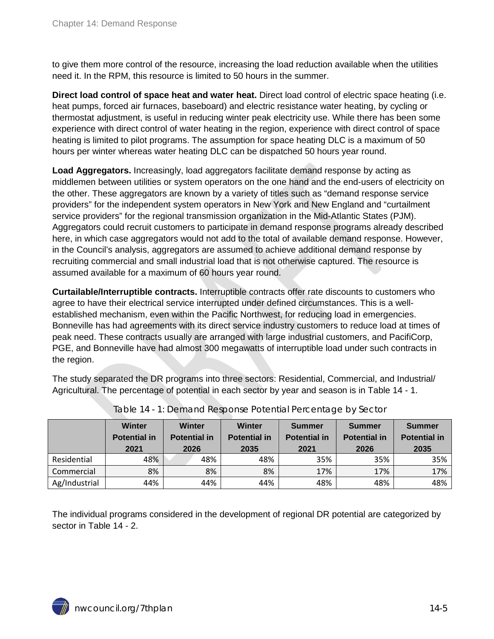to give them more control of the resource, increasing the load reduction available when the utilities need it. In the RPM, this resource is limited to 50 hours in the summer.

**Direct load control of space heat and water heat.** Direct load control of electric space heating (i.e. heat pumps, forced air furnaces, baseboard) and electric resistance water heating, by cycling or thermostat adjustment, is useful in reducing winter peak electricity use. While there has been some experience with direct control of water heating in the region, experience with direct control of space heating is limited to pilot programs. The assumption for space heating DLC is a maximum of 50 hours per winter whereas water heating DLC can be dispatched 50 hours year round.

**Load Aggregators.** Increasingly, load aggregators facilitate demand response by acting as middlemen between utilities or system operators on the one hand and the end-users of electricity on the other. These aggregators are known by a variety of titles such as "demand response service providers" for the independent system operators in New York and New England and "curtailment service providers" for the regional transmission organization in the Mid-Atlantic States (PJM). Aggregators could recruit customers to participate in demand response programs already described here, in which case aggregators would not add to the total of available demand response. However, in the Council's analysis, aggregators are assumed to achieve additional demand response by recruiting commercial and small industrial load that is not otherwise captured. The resource is assumed available for a maximum of 60 hours year round.

**Curtailable/Interruptible contracts.** Interruptible contracts offer rate discounts to customers who agree to have their electrical service interrupted under defined circumstances. This is a wellestablished mechanism, even within the Pacific Northwest, for reducing load in emergencies. Bonneville has had agreements with its direct service industry customers to reduce load at times of peak need. These contracts usually are arranged with large industrial customers, and PacifiCorp, PGE, and Bonneville have had almost 300 megawatts of interruptible load under such contracts in the region.

The study separated the DR programs into three sectors: Residential, Commercial, and Industrial/ Agricultural. The percentage of potential in each sector by year and season is in [Table 14 -](#page-4-0) 1.

<span id="page-4-0"></span>

|               | <b>Winter</b><br><b>Potential in</b><br>2021 | Winter<br><b>Potential in</b><br>2026 | <b>Winter</b><br><b>Potential in</b><br>2035 | <b>Summer</b><br><b>Potential in</b><br>2021 | <b>Summer</b><br><b>Potential in</b><br>2026 | Summer<br><b>Potential in</b><br>2035 |
|---------------|----------------------------------------------|---------------------------------------|----------------------------------------------|----------------------------------------------|----------------------------------------------|---------------------------------------|
| Residential   | 48%                                          | 48%                                   | 48%                                          | 35%                                          | 35%                                          | 35%                                   |
| Commercial    | 8%                                           | 8%                                    | 8%                                           | 17%                                          | 17%                                          | 17%                                   |
| Ag/Industrial | 44%                                          | 44%                                   | 44%                                          | 48%                                          | 48%                                          | 48%                                   |

Table 14 - 1: Demand Response Potential Percentage by Sector

The individual programs considered in the development of regional DR potential are categorized by sector in Table 14 - 2.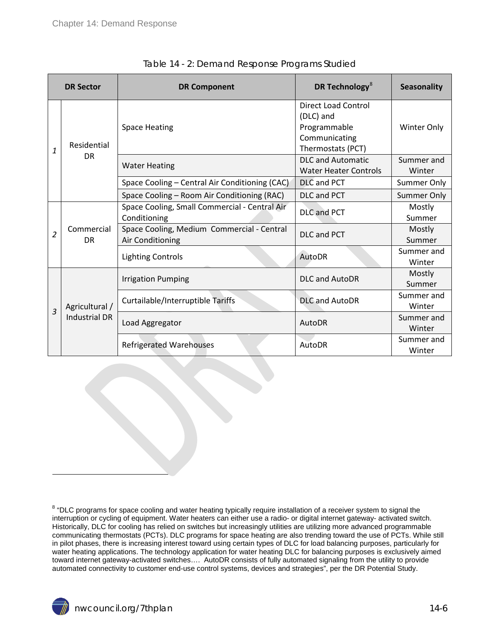<span id="page-5-0"></span>

|                | <b>DR Sector</b>          | <b>DR Component</b>                                            | DR Technology <sup>8</sup>                                                                    | <b>Seasonality</b>   |
|----------------|---------------------------|----------------------------------------------------------------|-----------------------------------------------------------------------------------------------|----------------------|
| 1              | Residential               | <b>Space Heating</b>                                           | <b>Direct Load Control</b><br>(DLC) and<br>Programmable<br>Communicating<br>Thermostats (PCT) | Winter Only          |
|                | <b>DR</b>                 | <b>Water Heating</b>                                           | <b>DLC and Automatic</b><br><b>Water Heater Controls</b>                                      | Summer and<br>Winter |
|                |                           | Space Cooling - Central Air Conditioning (CAC)                 | <b>DLC and PCT</b>                                                                            | Summer Only          |
|                |                           | Space Cooling - Room Air Conditioning (RAC)                    | DLC and PCT                                                                                   | <b>Summer Only</b>   |
|                |                           | Space Cooling, Small Commercial - Central Air<br>Conditioning  | <b>DLC and PCT</b>                                                                            | Mostly<br>Summer     |
| $\overline{2}$ | Commercial<br><b>DR</b>   | Space Cooling, Medium Commercial - Central<br>Air Conditioning | <b>DLC and PCT</b>                                                                            | Mostly<br>Summer     |
|                |                           | <b>Lighting Controls</b>                                       | AutoDR                                                                                        | Summer and<br>Winter |
|                |                           | <b>Irrigation Pumping</b>                                      | <b>DLC and AutoDR</b>                                                                         | Mostly<br>Summer     |
|                | Agricultural /            | Curtailable/Interruptible Tariffs                              | <b>DLC and AutoDR</b>                                                                         | Summer and<br>Winter |
|                | 3<br><b>Industrial DR</b> | Load Aggregator                                                | AutoDR                                                                                        | Summer and<br>Winter |
|                |                           | <b>Refrigerated Warehouses</b>                                 | AutoDR                                                                                        | Summer and<br>Winter |

|  | Table 14 - 2: Demand Response Programs Studied |  |
|--|------------------------------------------------|--|
|  |                                                |  |
|  |                                                |  |
|  |                                                |  |

 $\overline{a}$ 

<span id="page-5-1"></span><sup>&</sup>lt;sup>8</sup> "DLC programs for space cooling and water heating typically require installation of a receiver system to signal the interruption or cycling of equipment. Water heaters can either use a radio- or digital internet gateway- activated switch. Historically, DLC for cooling has relied on switches but increasingly utilities are utilizing more advanced programmable communicating thermostats (PCTs). DLC programs for space heating are also trending toward the use of PCTs. While still in pilot phases, there is increasing interest toward using certain types of DLC for load balancing purposes, particularly for water heating applications. The technology application for water heating DLC for balancing purposes is exclusively aimed toward internet gateway-activated switches…. AutoDR consists of fully automated signaling from the utility to provide automated connectivity to customer end-use control systems, devices and strategies", per the DR Potential Study.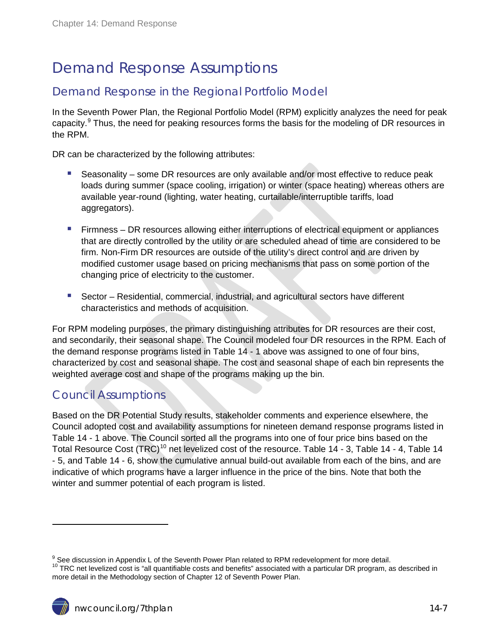### <span id="page-6-0"></span>Demand Response Assumptions

#### <span id="page-6-1"></span>Demand Response in the Regional Portfolio Model

In the Seventh Power Plan, the Regional Portfolio Model (RPM) explicitly analyzes the need for peak capacity.<sup>[9](#page-5-1)</sup> Thus, the need for peaking resources forms the basis for the modeling of DR resources in the RPM.

DR can be characterized by the following attributes:

- Seasonality some DR resources are only available and/or most effective to reduce peak loads during summer (space cooling, irrigation) or winter (space heating) whereas others are available year-round (lighting, water heating, curtailable/interruptible tariffs, load aggregators).
- **Firmness DR resources allowing either interruptions of electrical equipment or appliances** that are directly controlled by the utility or are scheduled ahead of time are considered to be firm. Non-Firm DR resources are outside of the utility's direct control and are driven by modified customer usage based on pricing mechanisms that pass on some portion of the changing price of electricity to the customer.
- Sector Residential, commercial, industrial, and agricultural sectors have different characteristics and methods of acquisition.

For RPM modeling purposes, the primary distinguishing attributes for DR resources are their cost, and secondarily, their seasonal shape. The Council modeled four DR resources in the RPM. Each of the demand response programs listed in Table 14 - 1 above was assigned to one of four bins, characterized by cost and seasonal shape. The cost and seasonal shape of each bin represents the weighted average cost and shape of the programs making up the bin.

#### <span id="page-6-2"></span>Council Assumptions

 $\ddot{ }$ 

Based on the DR Potential Study results, stakeholder comments and experience elsewhere, the Council adopted cost and availability assumptions for nineteen demand response programs listed in Table 14 - 1 above. The Council sorted all the programs into one of four price bins based on the Total Resource Cost (TRC)<sup>[10](#page-6-3)</sup> net levelized cost of the resource. [Table 14 -](#page-7-0) 3, [Table 14 -](#page-7-1) 4, Table 14 - [5,](#page-7-2) and [Table 14 -](#page-7-3) 6, show the cumulative annual build-out available from each of the bins, and are indicative of which programs have a larger influence in the price of the bins. Note that both the winter and summer potential of each program is listed.

<span id="page-6-4"></span><span id="page-6-3"></span> $9$  See discussion in Appendix L of the Seventh Power Plan related to RPM redevelopment for more detail.  $10$  TRC net levelized cost is "all quantifiable costs and benefits" associated with a particular DR program, as described in more detail in the Methodology section of Chapter 12 of Seventh Power Plan.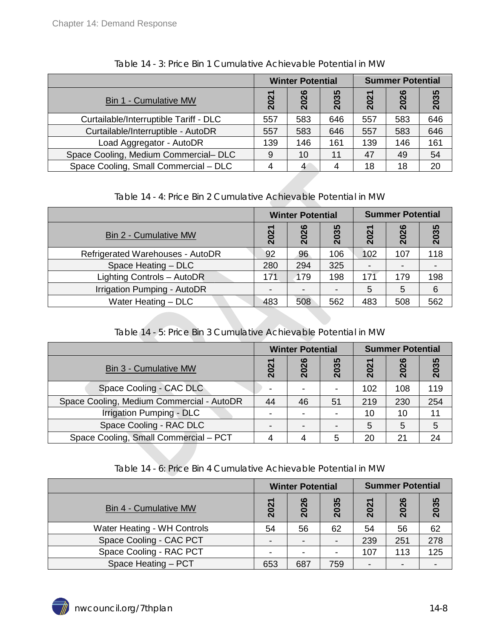<span id="page-7-0"></span>

|                                        | <b>Winter Potential</b> |      |      | <b>Summer Potential</b> |      |      |
|----------------------------------------|-------------------------|------|------|-------------------------|------|------|
| <b>Bin 1 - Cumulative MW</b>           | 2021                    | 2026 | 2035 | 2021                    | 2026 | 2035 |
| Curtailable/Interruptible Tariff - DLC | 557                     | 583  | 646  | 557                     | 583  | 646  |
| Curtailable/Interruptible - AutoDR     | 557                     | 583  | 646  | 557                     | 583  | 646  |
| Load Aggregator - AutoDR               | 139                     | 146  | 161  | 139                     | 146  | 161  |
| Space Cooling, Medium Commercial-DLC   | 9                       | 10   | 11   | 47                      | 49   | 54   |
| Space Cooling, Small Commercial - DLC  |                         | 4    | 4    | 18                      | 18   | 20   |

Table 14 - 3: Price Bin 1 Cumulative Achievable Potential in MW

Table 14 - 4: Price Bin 2 Cumulative Achievable Potential in MW

<span id="page-7-1"></span>

|                                  | <b>Winter Potential</b> |                          |                           | <b>Summer Potential</b> |      |      |
|----------------------------------|-------------------------|--------------------------|---------------------------|-------------------------|------|------|
| <b>Bin 2 - Cumulative MW</b>     | 2021                    | 2026                     | 035<br>$\bar{\mathbf{N}}$ | 2021                    | 2026 | 2035 |
| Refrigerated Warehouses - AutoDR | 92                      | 96                       | 106                       | 102                     | 107  | 118  |
| Space Heating - DLC              | 280                     | 294                      | 325                       |                         |      |      |
| Lighting Controls - AutoDR       | 171                     | 179                      | 198                       | 171                     | 179  | 198  |
| Irrigation Pumping - AutoDR      |                         | $\overline{\phantom{a}}$ |                           | 5                       | 5    | 6    |
| Water Heating - DLC              | 483                     | 508                      | 562                       | 483                     | 508  | 562  |

Table 14 - 5: Price Bin 3 Cumulative Achievable Potential in MW

<span id="page-7-2"></span>

|                                           | <b>Winter Potential</b>          |      |                | <b>Summer Potential</b> |      |      |  |
|-------------------------------------------|----------------------------------|------|----------------|-------------------------|------|------|--|
| <b>Bin 3 - Cumulative MW</b>              | <u>021</u><br>$\bar{\mathsf{N}}$ | 2026 | 2035           | 2021                    | 2026 | 2035 |  |
| Space Cooling - CAC DLC                   |                                  | -    | $\blacksquare$ | 102                     | 108  | 119  |  |
| Space Cooling, Medium Commercial - AutoDR | 44                               | 46   | 51             | 219                     | 230  | 254  |  |
| <b>Irrigation Pumping - DLC</b>           | -                                | -    | $\blacksquare$ | 10                      | 10   | 11   |  |
| Space Cooling - RAC DLC                   |                                  |      |                | 5                       | 5    | 5    |  |
| Space Cooling, Small Commercial - PCT     |                                  |      | 5              | 20                      | 21   | 24   |  |

Table 14 - 6: Price Bin 4 Cumulative Achievable Potential in MW

<span id="page-7-3"></span>

|                              | <b>Winter Potential</b>  |                          |                          | <b>Summer Potential</b> |      |      |
|------------------------------|--------------------------|--------------------------|--------------------------|-------------------------|------|------|
| <b>Bin 4 - Cumulative MW</b> | 2021                     | 2026                     | 2035                     | 2021                    | 2026 | 2035 |
| Water Heating - WH Controls  | 54                       | 56                       | 62                       | 54                      | 56   | 62   |
| Space Cooling - CAC PCT      | $\overline{\phantom{0}}$ | $\overline{\phantom{a}}$ | $\overline{\phantom{0}}$ | 239                     | 251  | 278  |
| Space Cooling - RAC PCT      |                          | -                        | $\blacksquare$           | 107                     | 113  | 125  |
| Space Heating - PCT          | 653                      | 687                      | 759                      |                         |      |      |

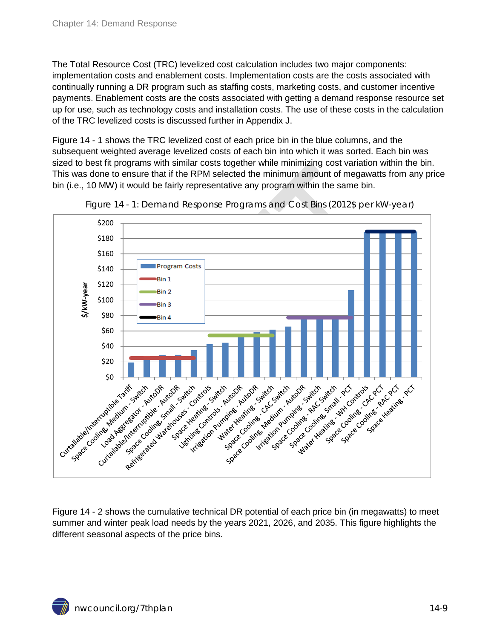The Total Resource Cost (TRC) levelized cost calculation includes two major components: implementation costs and enablement costs. Implementation costs are the costs associated with continually running a DR program such as staffing costs, marketing costs, and customer incentive payments. Enablement costs are the costs associated with getting a demand response resource set up for use, such as technology costs and installation costs. The use of these costs in the calculation of the TRC levelized costs is discussed further in Appendix J.

[Figure 14 -](#page-8-0) 1 shows the TRC levelized cost of each price bin in the blue columns, and the subsequent weighted average levelized costs of each bin into which it was sorted. Each bin was sized to best fit programs with similar costs together while minimizing cost variation within the bin. This was done to ensure that if the RPM selected the minimum amount of megawatts from any price bin (i.e., 10 MW) it would be fairly representative any program within the same bin.

<span id="page-8-0"></span>



[Figure 14 -](#page-9-3) 2 shows the cumulative technical DR potential of each price bin (in megawatts) to meet summer and winter peak load needs by the years 2021, 2026, and 2035. This figure highlights the different seasonal aspects of the price bins.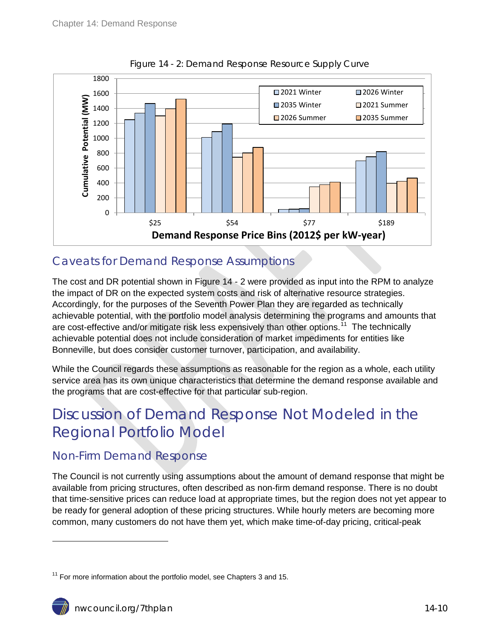<span id="page-9-3"></span>

Figure 14 - 2: Demand Response Resource Supply Curve

### <span id="page-9-0"></span>Caveats for Demand Response Assumptions

The cost and DR potential shown in Figure 14 - 2 were provided as input into the RPM to analyze the impact of DR on the expected system costs and risk of alternative resource strategies. Accordingly, for the purposes of the Seventh Power Plan they are regarded as technically achievable potential, with the portfolio model analysis determining the programs and amounts that are cost-effective and/or mitigate risk less expensively than other options.<sup>[11](#page-6-4)</sup> The technically achievable potential does not include consideration of market impediments for entities like Bonneville, but does consider customer turnover, participation, and availability.

While the Council regards these assumptions as reasonable for the region as a whole, each utility service area has its own unique characteristics that determine the demand response available and the programs that are cost-effective for that particular sub-region.

### <span id="page-9-1"></span>Discussion of Demand Response Not Modeled in the Regional Portfolio Model

### <span id="page-9-2"></span>Non-Firm Demand Response

The Council is not currently using assumptions about the amount of demand response that might be available from pricing structures, often described as non-firm demand response. There is no doubt that time-sensitive prices can reduce load at appropriate times, but the region does not yet appear to be ready for general adoption of these pricing structures. While hourly meters are becoming more common, many customers do not have them yet, which make time-of-day pricing, critical-peak

 $\overline{a}$ 

 $11$  For more information about the portfolio model, see Chapters 3 and 15.